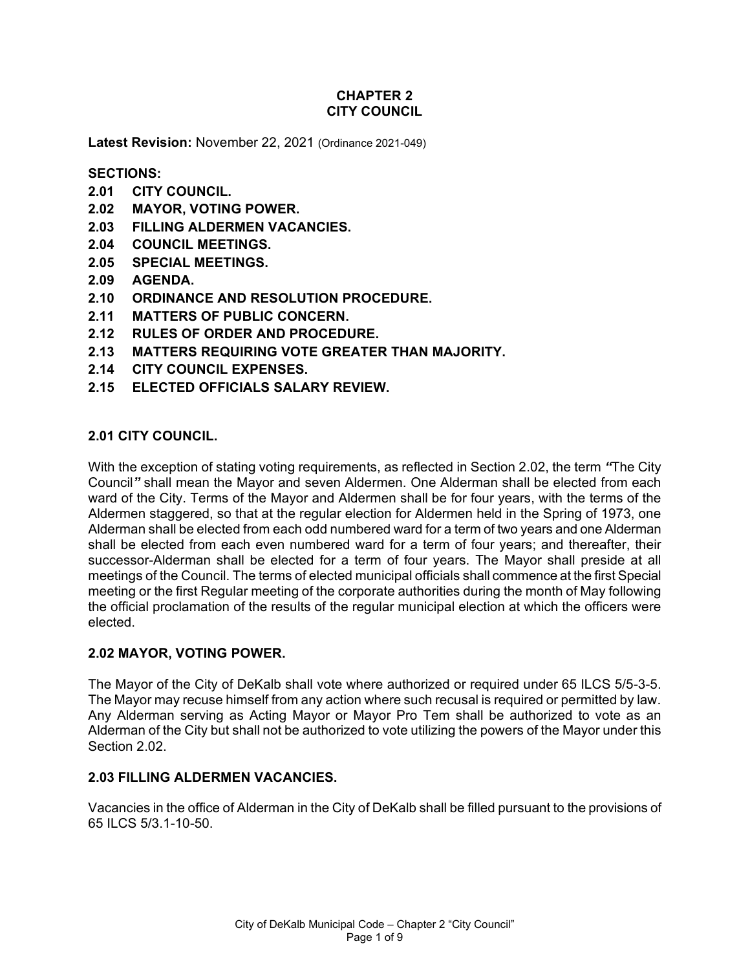## **CHAPTER 2 CITY COUNCIL**

**Latest Revision:** November 22, 2021 (Ordinance 2021-049)

### **SECTIONS:**

- **2.01 CITY COUNCIL.**
- **2.02 MAYOR, VOTING POWER.**
- **2.03 FILLING ALDERMEN VACANCIES.**
- **2.04 COUNCIL MEETINGS.**
- **2.05 SPECIAL MEETINGS.**
- **2.09 AGENDA.**
- **2.10 ORDINANCE AND RESOLUTION PROCEDURE.**
- **2.11 MATTERS OF PUBLIC CONCERN.**
- **2.12 RULES OF ORDER AND PROCEDURE.**
- **2.13 MATTERS REQUIRING VOTE GREATER THAN MAJORITY.**
- **2.14 CITY COUNCIL EXPENSES.**
- **2.15 ELECTED OFFICIALS SALARY REVIEW.**

### **2.01 CITY COUNCIL.**

With the exception of stating voting requirements, as reflected in Section 2.02, the term *"*The City Council*"* shall mean the Mayor and seven Aldermen. One Alderman shall be elected from each ward of the City. Terms of the Mayor and Aldermen shall be for four years, with the terms of the Aldermen staggered, so that at the regular election for Aldermen held in the Spring of 1973, one Alderman shall be elected from each odd numbered ward for a term of two years and one Alderman shall be elected from each even numbered ward for a term of four years; and thereafter, their successor-Alderman shall be elected for a term of four years. The Mayor shall preside at all meetings of the Council. The terms of elected municipal officials shall commence at the first Special meeting or the first Regular meeting of the corporate authorities during the month of May following the official proclamation of the results of the regular municipal election at which the officers were elected.

### **2.02 MAYOR, VOTING POWER.**

The Mayor of the City of DeKalb shall vote where authorized or required under 65 ILCS 5/5-3-5. The Mayor may recuse himself from any action where such recusal is required or permitted by law. Any Alderman serving as Acting Mayor or Mayor Pro Tem shall be authorized to vote as an Alderman of the City but shall not be authorized to vote utilizing the powers of the Mayor under this Section 2.02

### **2.03 FILLING ALDERMEN VACANCIES.**

Vacancies in the office of Alderman in the City of DeKalb shall be filled pursuant to the provisions of 65 ILCS 5/3.1-10-50.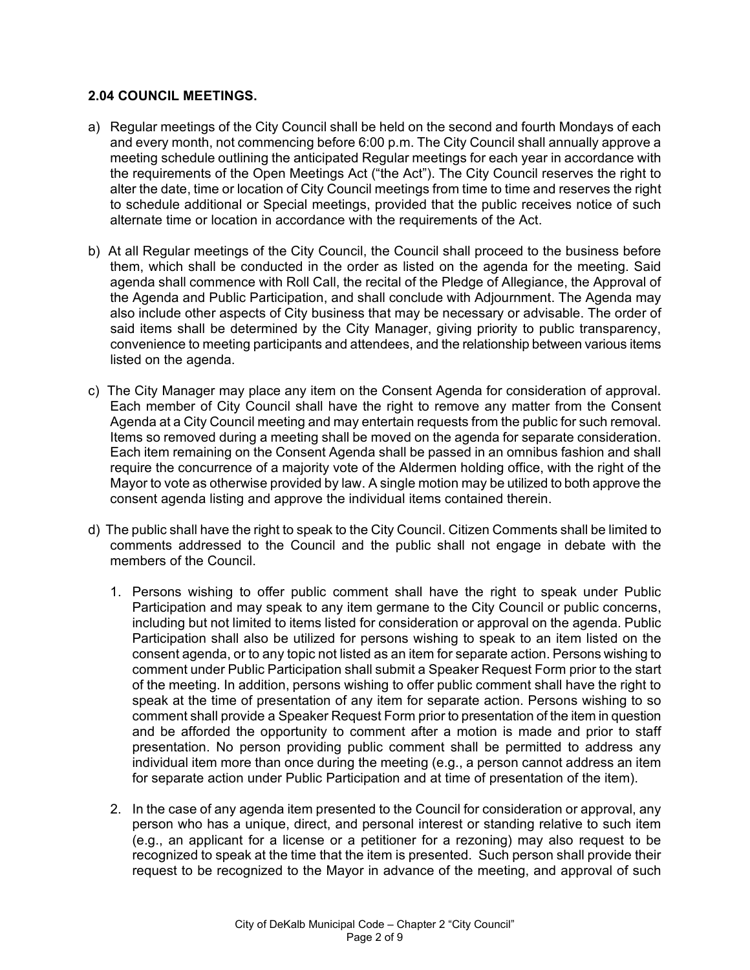#### **2.04 COUNCIL MEETINGS.**

- a) Regular meetings of the City Council shall be held on the second and fourth Mondays of each and every month, not commencing before 6:00 p.m. The City Council shall annually approve a meeting schedule outlining the anticipated Regular meetings for each year in accordance with the requirements of the Open Meetings Act ("the Act"). The City Council reserves the right to alter the date, time or location of City Council meetings from time to time and reserves the right to schedule additional or Special meetings, provided that the public receives notice of such alternate time or location in accordance with the requirements of the Act.
- b) At all Regular meetings of the City Council, the Council shall proceed to the business before them, which shall be conducted in the order as listed on the agenda for the meeting. Said agenda shall commence with Roll Call, the recital of the Pledge of Allegiance, the Approval of the Agenda and Public Participation, and shall conclude with Adjournment. The Agenda may also include other aspects of City business that may be necessary or advisable. The order of said items shall be determined by the City Manager, giving priority to public transparency, convenience to meeting participants and attendees, and the relationship between various items listed on the agenda.
- c) The City Manager may place any item on the Consent Agenda for consideration of approval. Each member of City Council shall have the right to remove any matter from the Consent Agenda at a City Council meeting and may entertain requests from the public for such removal. Items so removed during a meeting shall be moved on the agenda for separate consideration. Each item remaining on the Consent Agenda shall be passed in an omnibus fashion and shall require the concurrence of a majority vote of the Aldermen holding office, with the right of the Mayor to vote as otherwise provided by law. A single motion may be utilized to both approve the consent agenda listing and approve the individual items contained therein.
- d) The public shall have the right to speak to the City Council. Citizen Comments shall be limited to comments addressed to the Council and the public shall not engage in debate with the members of the Council.
	- 1. Persons wishing to offer public comment shall have the right to speak under Public Participation and may speak to any item germane to the City Council or public concerns, including but not limited to items listed for consideration or approval on the agenda. Public Participation shall also be utilized for persons wishing to speak to an item listed on the consent agenda, or to any topic not listed as an item for separate action. Persons wishing to comment under Public Participation shall submit a Speaker Request Form prior to the start of the meeting. In addition, persons wishing to offer public comment shall have the right to speak at the time of presentation of any item for separate action. Persons wishing to so comment shall provide a Speaker Request Form prior to presentation of the item in question and be afforded the opportunity to comment after a motion is made and prior to staff presentation. No person providing public comment shall be permitted to address any individual item more than once during the meeting (e.g., a person cannot address an item for separate action under Public Participation and at time of presentation of the item).
	- 2. In the case of any agenda item presented to the Council for consideration or approval, any person who has a unique, direct, and personal interest or standing relative to such item (e.g., an applicant for a license or a petitioner for a rezoning) may also request to be recognized to speak at the time that the item is presented. Such person shall provide their request to be recognized to the Mayor in advance of the meeting, and approval of such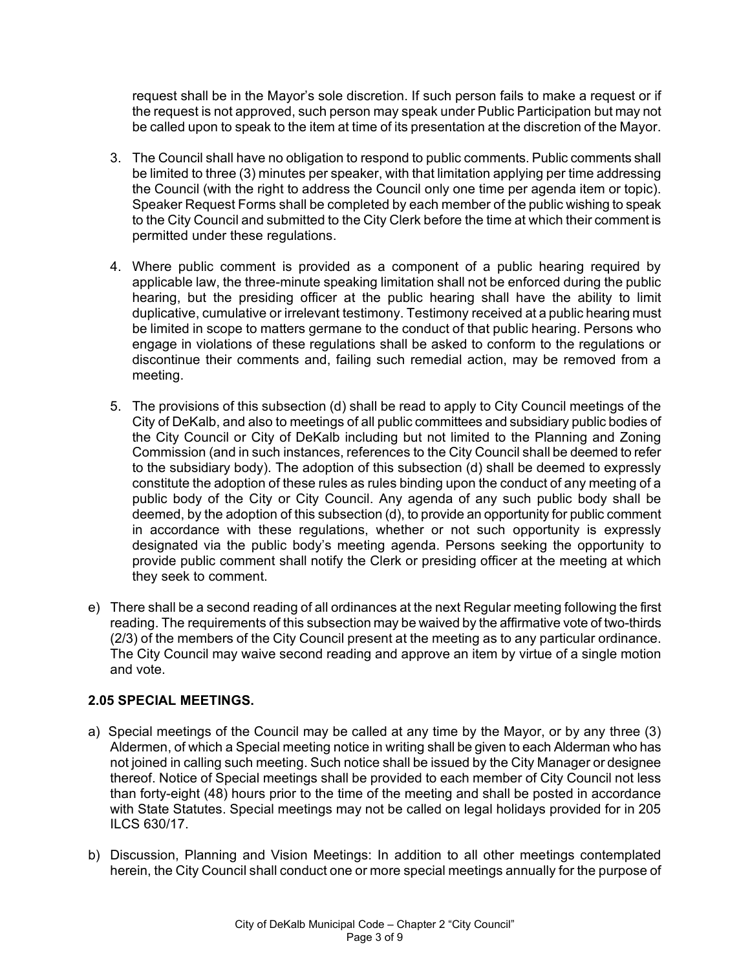request shall be in the Mayor's sole discretion. If such person fails to make a request or if the request is not approved, such person may speak under Public Participation but may not be called upon to speak to the item at time of its presentation at the discretion of the Mayor.

- 3. The Council shall have no obligation to respond to public comments. Public comments shall be limited to three (3) minutes per speaker, with that limitation applying per time addressing the Council (with the right to address the Council only one time per agenda item or topic). Speaker Request Forms shall be completed by each member of the public wishing to speak to the City Council and submitted to the City Clerk before the time at which their comment is permitted under these regulations.
- 4. Where public comment is provided as a component of a public hearing required by applicable law, the three-minute speaking limitation shall not be enforced during the public hearing, but the presiding officer at the public hearing shall have the ability to limit duplicative, cumulative or irrelevant testimony. Testimony received at a public hearing must be limited in scope to matters germane to the conduct of that public hearing. Persons who engage in violations of these regulations shall be asked to conform to the regulations or discontinue their comments and, failing such remedial action, may be removed from a meeting.
- 5. The provisions of this subsection (d) shall be read to apply to City Council meetings of the City of DeKalb, and also to meetings of all public committees and subsidiary public bodies of the City Council or City of DeKalb including but not limited to the Planning and Zoning Commission (and in such instances, references to the City Council shall be deemed to refer to the subsidiary body). The adoption of this subsection (d) shall be deemed to expressly constitute the adoption of these rules as rules binding upon the conduct of any meeting of a public body of the City or City Council. Any agenda of any such public body shall be deemed, by the adoption of this subsection (d), to provide an opportunity for public comment in accordance with these regulations, whether or not such opportunity is expressly designated via the public body's meeting agenda. Persons seeking the opportunity to provide public comment shall notify the Clerk or presiding officer at the meeting at which they seek to comment.
- e) There shall be a second reading of all ordinances at the next Regular meeting following the first reading. The requirements of this subsection may be waived by the affirmative vote of two-thirds (2/3) of the members of the City Council present at the meeting as to any particular ordinance. The City Council may waive second reading and approve an item by virtue of a single motion and vote.

# **2.05 SPECIAL MEETINGS.**

- a) Special meetings of the Council may be called at any time by the Mayor, or by any three (3) Aldermen, of which a Special meeting notice in writing shall be given to each Alderman who has not joined in calling such meeting. Such notice shall be issued by the City Manager or designee thereof. Notice of Special meetings shall be provided to each member of City Council not less than forty-eight (48) hours prior to the time of the meeting and shall be posted in accordance with State Statutes. Special meetings may not be called on legal holidays provided for in 205 ILCS 630/17.
- b) Discussion, Planning and Vision Meetings: In addition to all other meetings contemplated herein, the City Council shall conduct one or more special meetings annually for the purpose of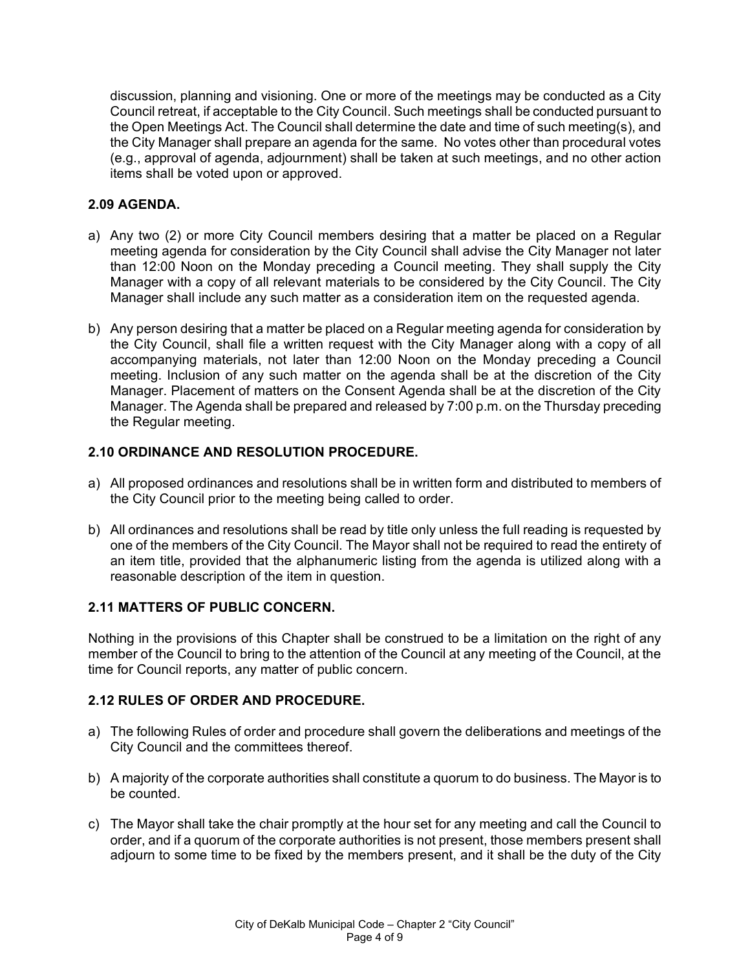discussion, planning and visioning. One or more of the meetings may be conducted as a City Council retreat, if acceptable to the City Council. Such meetings shall be conducted pursuant to the Open Meetings Act. The Council shall determine the date and time of such meeting(s), and the City Manager shall prepare an agenda for the same. No votes other than procedural votes (e.g., approval of agenda, adjournment) shall be taken at such meetings, and no other action items shall be voted upon or approved.

## **2.09 AGENDA.**

- a) Any two (2) or more City Council members desiring that a matter be placed on a Regular meeting agenda for consideration by the City Council shall advise the City Manager not later than 12:00 Noon on the Monday preceding a Council meeting. They shall supply the City Manager with a copy of all relevant materials to be considered by the City Council. The City Manager shall include any such matter as a consideration item on the requested agenda.
- b) Any person desiring that a matter be placed on a Regular meeting agenda for consideration by the City Council, shall file a written request with the City Manager along with a copy of all accompanying materials, not later than 12:00 Noon on the Monday preceding a Council meeting. Inclusion of any such matter on the agenda shall be at the discretion of the City Manager. Placement of matters on the Consent Agenda shall be at the discretion of the City Manager. The Agenda shall be prepared and released by 7:00 p.m. on the Thursday preceding the Regular meeting.

## **2.10 ORDINANCE AND RESOLUTION PROCEDURE.**

- a) All proposed ordinances and resolutions shall be in written form and distributed to members of the City Council prior to the meeting being called to order.
- b) All ordinances and resolutions shall be read by title only unless the full reading is requested by one of the members of the City Council. The Mayor shall not be required to read the entirety of an item title, provided that the alphanumeric listing from the agenda is utilized along with a reasonable description of the item in question.

### **2.11 MATTERS OF PUBLIC CONCERN.**

Nothing in the provisions of this Chapter shall be construed to be a limitation on the right of any member of the Council to bring to the attention of the Council at any meeting of the Council, at the time for Council reports, any matter of public concern.

### **2.12 RULES OF ORDER AND PROCEDURE.**

- a) The following Rules of order and procedure shall govern the deliberations and meetings of the City Council and the committees thereof.
- b) A majority of the corporate authorities shall constitute a quorum to do business. The Mayor is to be counted.
- c) The Mayor shall take the chair promptly at the hour set for any meeting and call the Council to order, and if a quorum of the corporate authorities is not present, those members present shall adjourn to some time to be fixed by the members present, and it shall be the duty of the City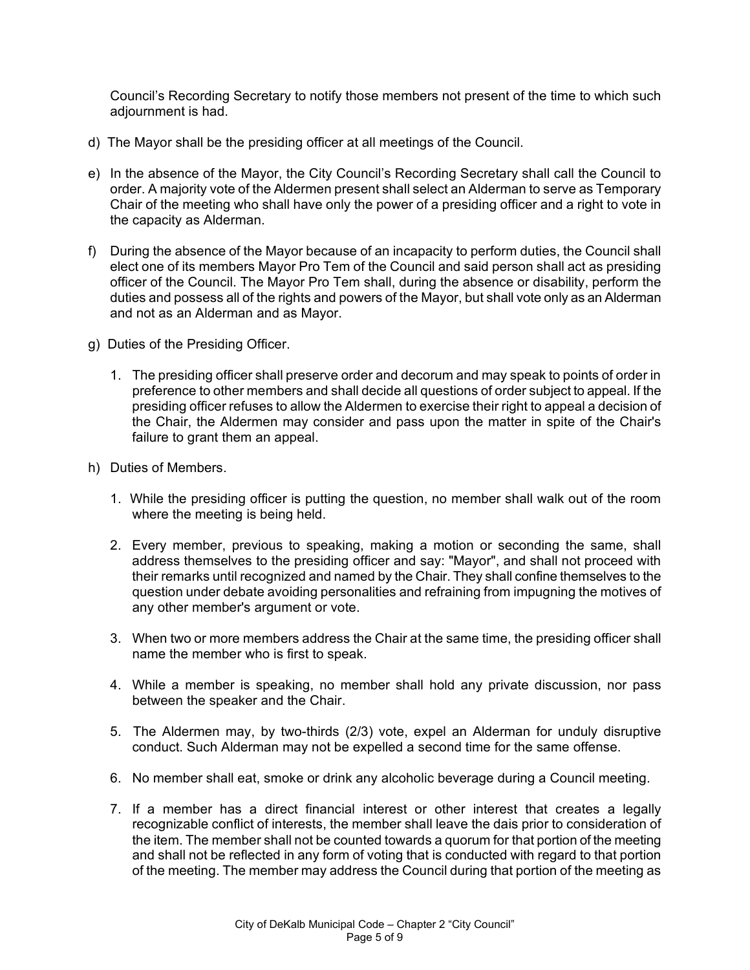Council's Recording Secretary to notify those members not present of the time to which such adjournment is had.

- d) The Mayor shall be the presiding officer at all meetings of the Council.
- e) In the absence of the Mayor, the City Council's Recording Secretary shall call the Council to order. A majority vote of the Aldermen present shall select an Alderman to serve as Temporary Chair of the meeting who shall have only the power of a presiding officer and a right to vote in the capacity as Alderman.
- f) During the absence of the Mayor because of an incapacity to perform duties, the Council shall elect one of its members Mayor Pro Tem of the Council and said person shall act as presiding officer of the Council. The Mayor Pro Tem shall, during the absence or disability, perform the duties and possess all of the rights and powers of the Mayor, but shall vote only as an Alderman and not as an Alderman and as Mayor.
- g) Duties of the Presiding Officer.
	- 1. The presiding officer shall preserve order and decorum and may speak to points of order in preference to other members and shall decide all questions of order subject to appeal. If the presiding officer refuses to allow the Aldermen to exercise their right to appeal a decision of the Chair, the Aldermen may consider and pass upon the matter in spite of the Chair's failure to grant them an appeal.
- h) Duties of Members.
	- 1. While the presiding officer is putting the question, no member shall walk out of the room where the meeting is being held.
	- 2. Every member, previous to speaking, making a motion or seconding the same, shall address themselves to the presiding officer and say: "Mayor", and shall not proceed with their remarks until recognized and named by the Chair. They shall confine themselves to the question under debate avoiding personalities and refraining from impugning the motives of any other member's argument or vote.
	- 3. When two or more members address the Chair at the same time, the presiding officer shall name the member who is first to speak.
	- 4. While a member is speaking, no member shall hold any private discussion, nor pass between the speaker and the Chair.
	- 5. The Aldermen may, by two-thirds (2/3) vote, expel an Alderman for unduly disruptive conduct. Such Alderman may not be expelled a second time for the same offense.
	- 6. No member shall eat, smoke or drink any alcoholic beverage during a Council meeting.
	- 7. If a member has a direct financial interest or other interest that creates a legally recognizable conflict of interests, the member shall leave the dais prior to consideration of the item. The member shall not be counted towards a quorum for that portion of the meeting and shall not be reflected in any form of voting that is conducted with regard to that portion of the meeting. The member may address the Council during that portion of the meeting as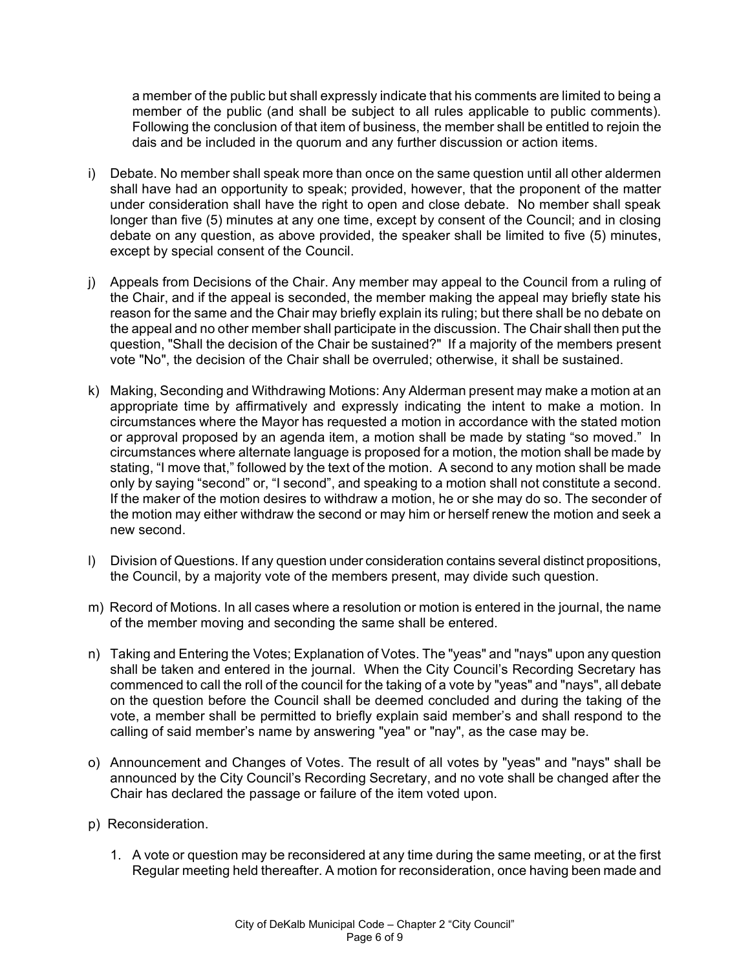a member of the public but shall expressly indicate that his comments are limited to being a member of the public (and shall be subject to all rules applicable to public comments). Following the conclusion of that item of business, the member shall be entitled to rejoin the dais and be included in the quorum and any further discussion or action items.

- i) Debate. No member shall speak more than once on the same question until all other aldermen shall have had an opportunity to speak; provided, however, that the proponent of the matter under consideration shall have the right to open and close debate. No member shall speak longer than five (5) minutes at any one time, except by consent of the Council; and in closing debate on any question, as above provided, the speaker shall be limited to five (5) minutes, except by special consent of the Council.
- j) Appeals from Decisions of the Chair. Any member may appeal to the Council from a ruling of the Chair, and if the appeal is seconded, the member making the appeal may briefly state his reason for the same and the Chair may briefly explain its ruling; but there shall be no debate on the appeal and no other member shall participate in the discussion. The Chair shall then put the question, "Shall the decision of the Chair be sustained?" If a majority of the members present vote "No", the decision of the Chair shall be overruled; otherwise, it shall be sustained.
- k) Making, Seconding and Withdrawing Motions: Any Alderman present may make a motion at an appropriate time by affirmatively and expressly indicating the intent to make a motion. In circumstances where the Mayor has requested a motion in accordance with the stated motion or approval proposed by an agenda item, a motion shall be made by stating "so moved." In circumstances where alternate language is proposed for a motion, the motion shall be made by stating, "I move that," followed by the text of the motion. A second to any motion shall be made only by saying "second" or, "I second", and speaking to a motion shall not constitute a second. If the maker of the motion desires to withdraw a motion, he or she may do so. The seconder of the motion may either withdraw the second or may him or herself renew the motion and seek a new second.
- l) Division of Questions. If any question under consideration contains several distinct propositions, the Council, by a majority vote of the members present, may divide such question.
- m) Record of Motions. In all cases where a resolution or motion is entered in the journal, the name of the member moving and seconding the same shall be entered.
- n) Taking and Entering the Votes; Explanation of Votes. The "yeas" and "nays" upon any question shall be taken and entered in the journal. When the City Council's Recording Secretary has commenced to call the roll of the council for the taking of a vote by "yeas" and "nays", all debate on the question before the Council shall be deemed concluded and during the taking of the vote, a member shall be permitted to briefly explain said member's and shall respond to the calling of said member's name by answering "yea" or "nay", as the case may be.
- o) Announcement and Changes of Votes. The result of all votes by "yeas" and "nays" shall be announced by the City Council's Recording Secretary, and no vote shall be changed after the Chair has declared the passage or failure of the item voted upon.
- p) Reconsideration.
	- 1. A vote or question may be reconsidered at any time during the same meeting, or at the first Regular meeting held thereafter. A motion for reconsideration, once having been made and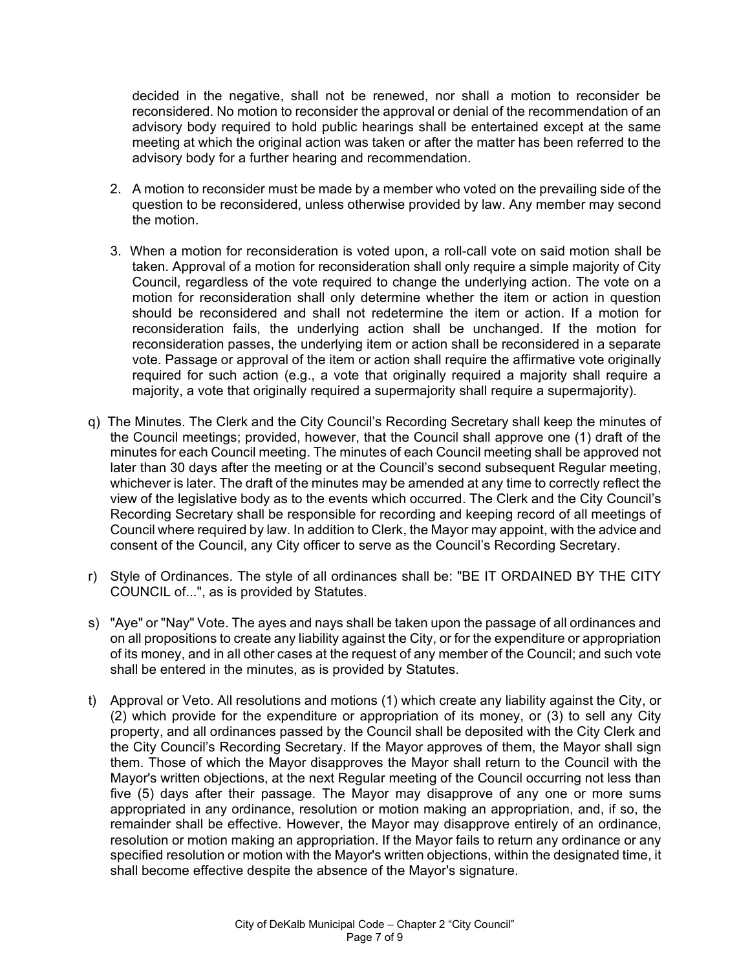decided in the negative, shall not be renewed, nor shall a motion to reconsider be reconsidered. No motion to reconsider the approval or denial of the recommendation of an advisory body required to hold public hearings shall be entertained except at the same meeting at which the original action was taken or after the matter has been referred to the advisory body for a further hearing and recommendation.

- 2. A motion to reconsider must be made by a member who voted on the prevailing side of the question to be reconsidered, unless otherwise provided by law. Any member may second the motion.
- 3. When a motion for reconsideration is voted upon, a roll-call vote on said motion shall be taken. Approval of a motion for reconsideration shall only require a simple majority of City Council, regardless of the vote required to change the underlying action. The vote on a motion for reconsideration shall only determine whether the item or action in question should be reconsidered and shall not redetermine the item or action. If a motion for reconsideration fails, the underlying action shall be unchanged. If the motion for reconsideration passes, the underlying item or action shall be reconsidered in a separate vote. Passage or approval of the item or action shall require the affirmative vote originally required for such action (e.g., a vote that originally required a majority shall require a majority, a vote that originally required a supermajority shall require a supermajority).
- q) The Minutes. The Clerk and the City Council's Recording Secretary shall keep the minutes of the Council meetings; provided, however, that the Council shall approve one (1) draft of the minutes for each Council meeting. The minutes of each Council meeting shall be approved not later than 30 days after the meeting or at the Council's second subsequent Regular meeting, whichever is later. The draft of the minutes may be amended at any time to correctly reflect the view of the legislative body as to the events which occurred. The Clerk and the City Council's Recording Secretary shall be responsible for recording and keeping record of all meetings of Council where required by law. In addition to Clerk, the Mayor may appoint, with the advice and consent of the Council, any City officer to serve as the Council's Recording Secretary.
- r) Style of Ordinances. The style of all ordinances shall be: "BE IT ORDAINED BY THE CITY COUNCIL of...", as is provided by Statutes.
- s) "Aye" or "Nay" Vote. The ayes and nays shall be taken upon the passage of all ordinances and on all propositions to create any liability against the City, or for the expenditure or appropriation of its money, and in all other cases at the request of any member of the Council; and such vote shall be entered in the minutes, as is provided by Statutes.
- t) Approval or Veto. All resolutions and motions (1) which create any liability against the City, or (2) which provide for the expenditure or appropriation of its money, or (3) to sell any City property, and all ordinances passed by the Council shall be deposited with the City Clerk and the City Council's Recording Secretary. If the Mayor approves of them, the Mayor shall sign them. Those of which the Mayor disapproves the Mayor shall return to the Council with the Mayor's written objections, at the next Regular meeting of the Council occurring not less than five (5) days after their passage. The Mayor may disapprove of any one or more sums appropriated in any ordinance, resolution or motion making an appropriation, and, if so, the remainder shall be effective. However, the Mayor may disapprove entirely of an ordinance, resolution or motion making an appropriation. If the Mayor fails to return any ordinance or any specified resolution or motion with the Mayor's written objections, within the designated time, it shall become effective despite the absence of the Mayor's signature.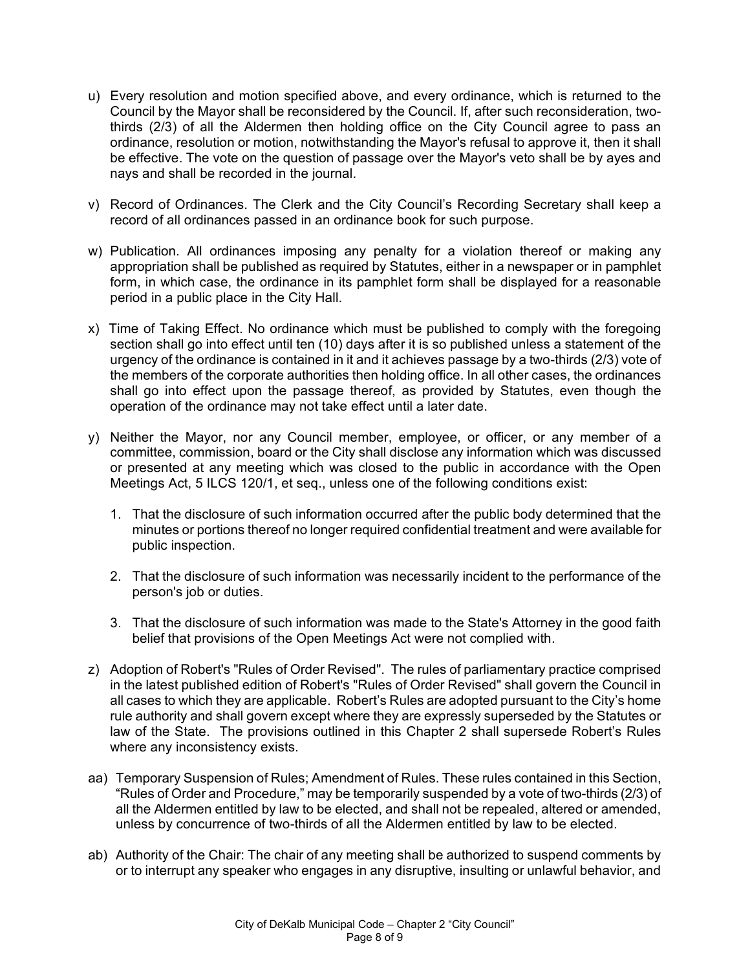- u) Every resolution and motion specified above, and every ordinance, which is returned to the Council by the Mayor shall be reconsidered by the Council. If, after such reconsideration, twothirds (2/3) of all the Aldermen then holding office on the City Council agree to pass an ordinance, resolution or motion, notwithstanding the Mayor's refusal to approve it, then it shall be effective. The vote on the question of passage over the Mayor's veto shall be by ayes and nays and shall be recorded in the journal.
- v) Record of Ordinances. The Clerk and the City Council's Recording Secretary shall keep a record of all ordinances passed in an ordinance book for such purpose.
- w) Publication. All ordinances imposing any penalty for a violation thereof or making any appropriation shall be published as required by Statutes, either in a newspaper or in pamphlet form, in which case, the ordinance in its pamphlet form shall be displayed for a reasonable period in a public place in the City Hall.
- x) Time of Taking Effect. No ordinance which must be published to comply with the foregoing section shall go into effect until ten (10) days after it is so published unless a statement of the urgency of the ordinance is contained in it and it achieves passage by a two-thirds (2/3) vote of the members of the corporate authorities then holding office. In all other cases, the ordinances shall go into effect upon the passage thereof, as provided by Statutes, even though the operation of the ordinance may not take effect until a later date.
- y) Neither the Mayor, nor any Council member, employee, or officer, or any member of a committee, commission, board or the City shall disclose any information which was discussed or presented at any meeting which was closed to the public in accordance with the Open Meetings Act, 5 ILCS 120/1, et seq., unless one of the following conditions exist:
	- 1. That the disclosure of such information occurred after the public body determined that the minutes or portions thereof no longer required confidential treatment and were available for public inspection.
	- 2. That the disclosure of such information was necessarily incident to the performance of the person's job or duties.
	- 3. That the disclosure of such information was made to the State's Attorney in the good faith belief that provisions of the Open Meetings Act were not complied with.
- z) Adoption of Robert's "Rules of Order Revised". The rules of parliamentary practice comprised in the latest published edition of Robert's "Rules of Order Revised" shall govern the Council in all cases to which they are applicable. Robert's Rules are adopted pursuant to the City's home rule authority and shall govern except where they are expressly superseded by the Statutes or law of the State. The provisions outlined in this Chapter 2 shall supersede Robert's Rules where any inconsistency exists.
- aa) Temporary Suspension of Rules; Amendment of Rules. These rules contained in this Section, "Rules of Order and Procedure," may be temporarily suspended by a vote of two-thirds (2/3) of all the Aldermen entitled by law to be elected, and shall not be repealed, altered or amended, unless by concurrence of two-thirds of all the Aldermen entitled by law to be elected.
- ab) Authority of the Chair: The chair of any meeting shall be authorized to suspend comments by or to interrupt any speaker who engages in any disruptive, insulting or unlawful behavior, and